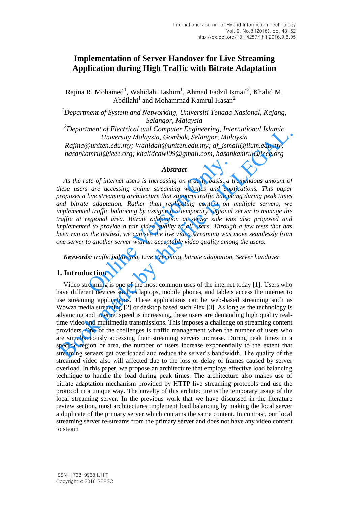# **Implementation of Server Handover for Live Streaming Application during High Traffic with Bitrate Adaptation**

Rajina R. Mohamed<sup>1</sup>, Wahidah Hashim<sup>1</sup>, Ahmad Fadzil Ismail<sup>2</sup>, Khalid M. Abdilahi $^1$  and Mohammad Kamrul Hasan<sup>2</sup>

*<sup>1</sup>Department of System and Networking, Universiti Tenaga Nasional, Kajang, Selangor, Malaysia* 

*<sup>2</sup>Department of Electrical and Computer Engineering, International Islamic University Malaysia, Gombak, Selangor, Malaysia* 

*Rajina@uniten.edu.my; Wahidah@uniten.edu.my; af\_ismail@iium.edu.my; hasankamrul@ieee.org; khalidcawl09@gmail.com, hasankamrul@ieee.org* 

#### *Abstract*

*As the rate of internet users is increasing on a daily basis, a tremendous amount of these users are accessing online streaming websites and applications. This paper proposes a live streaming architecture that supports traffic balancing during peak times and bitrate adaptation. Rather than replicating content on multiple servers, we implemented traffic balancing by assigning a temporary regional server to manage the traffic at regional area. Bitrate adaptation at server side was also proposed and implemented to provide a fair video quality to all users. Through a few tests that has been run on the testbed, we can see the live video streaming was move seamlessly from one server to another server with an acceptable video quality among the users.*  **Abstract**<br>**Abstract**<br>**Abstract**<br>**Example 19** if the accessing online streaming websites and applive streaming architecture that supports traffic balance<br>**adaptation.** Rather than replicating content on<br>**d** traffic balanci

*Keywords: traffic balancing, Live streaming, bitrate adaptation, Server handover* 

## **1. Introduction**

Video streaming is one of the most common uses of the internet today [1]. Users who have different devices such as laptops, mobile phones, and tablets access the internet to use streaming applications. These applications can be web-based streaming such as Wowza media streaming [2] or desktop based such Plex [3]. As long as the technology is advancing and internet speed is increasing, these users are demanding high quality realtime video and multimedia transmissions. This imposes a challenge on streaming content providers. One of the challenges is traffic management when the number of users who are simultaneously accessing their streaming servers increase. During peak times in a specific region or area, the number of users increase exponentially to the extent that streaming servers get overloaded and reduce the server's bandwidth. The quality of the streamed video also will affected due to the loss or delay of frames caused by server overload. In this paper, we propose an architecture that employs effective load balancing technique to handle the load during peak times. The architecture also makes use of bitrate adaptation mechanism provided by HTTP live streaming protocols and use the protocol in a unique way. The novelty of this architecture is the temporary usage of the local streaming server. In the previous work that we have discussed in the literature review section, most architectures implement load balancing by making the local server a duplicate of the primary server which contains the same content. In contrast, our local streaming server re-streams from the primary server and does not have any video content to steam "Department of Electrical and Computer Engmeering, International Islamic<br>
Liniversity Malaysia, Gombak, Selangor, Malaysia<br>
Rajina@uniten.edu.my; Whidah@uniten.edu.my; af\_ismail@iium.edu.my;<br>
hasankamrul@ieee.org; khalidc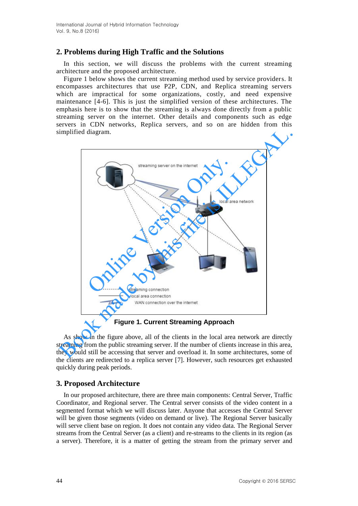# **2. Problems during High Traffic and the Solutions**

In this section, we will discuss the problems with the current streaming architecture and the proposed architecture.

Figure 1 below shows the current streaming method used by service providers. It encompasses architectures that use P2P, CDN, and Replica streaming servers which are impractical for some organizations, costly, and need expensive maintenance [4-6]. This is just the simplified version of these architectures. The emphasis here is to show that the streaming is always done directly from a public streaming server on the internet. Other details and components such as edge servers in CDN networks, Replica servers, and so on are hidden from this simplified diagram.



**Figure 1. Current Streaming Approach**

As show in the figure above, all of the clients in the local area network are directly streaming from the public streaming server. If the number of clients increase in this area, they would still be accessing that server and overload it. In some architectures, some of the clients are redirected to a replica server [7]. However, such resources get exhausted quickly during peak periods.

# **3. Proposed Architecture**

In our proposed architecture, there are three main components: Central Server, Traffic Coordinator, and Regional server. The Central server consists of the video content in a segmented format which we will discuss later. Anyone that accesses the Central Server will be given those segments (video on demand or live). The Regional Server basically will serve client base on region. It does not contain any video data. The Regional Server streams from the Central Server (as a client) and re-streams to the clients in its region (as a server). Therefore, it is a matter of getting the stream from the primary server and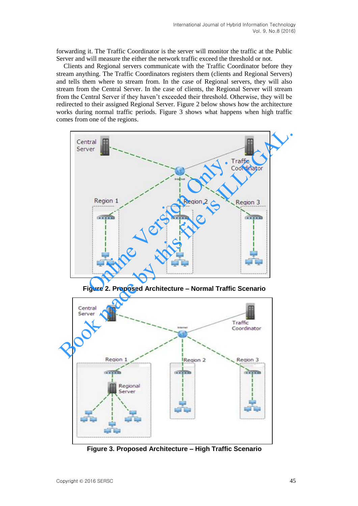forwarding it. The Traffic Coordinator is the server will monitor the traffic at the Public Server and will measure the either the network traffic exceed the threshold or not.

Clients and Regional servers communicate with the Traffic Coordinator before they stream anything. The Traffic Coordinators registers them (clients and Regional Servers) and tells them where to stream from. In the case of Regional servers, they will also stream from the Central Server. In the case of clients, the Regional Server will stream from the Central Server if they haven't exceeded their threshold. Otherwise, they will be redirected to their assigned Regional Server. Figure 2 below shows how the architecture works during normal traffic periods. Figure 3 shows what happens when high traffic comes from one of the regions.



**Figure 2. Proposed Architecture – Normal Traffic Scenario** 



**Figure 3. Proposed Architecture – High Traffic Scenario**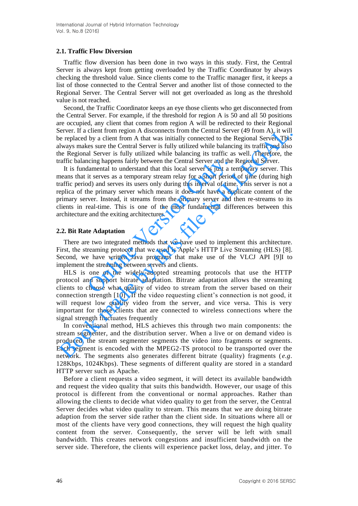#### **2.1. Traffic Flow Diversion**

Traffic flow diversion has been done in two ways in this study. First, the Central Server is always kept from getting overloaded by the Traffic Coordinator by always checking the threshold value. Since clients come to the Traffic manager first, it keeps a list of those connected to the Central Server and another list of those connected to the Regional Server. The Central Server will not get overloaded as long as the threshold value is not reached.

Second, the Traffic Coordinator keeps an eye those clients who get disconnected from the Central Server. For example, if the threshold for region A is 50 and all 50 positions are occupied, any client that comes from region A will be redirected to their Regional Server. If a client from region A disconnects from the Central Server (49 from A), it will be replaced by a client from A that was initially connected to the Regional Server. This always makes sure the Central Server is fully utilized while balancing its traffic and also the Regional Server is fully utilized while balancing its traffic as well. Therefore, the traffic balancing happens fairly between the Central Server and the Regional Server.

It is fundamental to understand that this local server is just a temporary server. This means that it serves as a temporary stream relay for a short period of time (during high traffic period) and serves its users only during this interval of time. This server is not a replica of the primary server which means it does not have a duplicate content of the primary server. Instead, it streams from the primary server and then re-streams to its clients in real-time. This is one of the most fundamental differences between this architecture and the exiting architectures. noting happens fairly between the Central Server and the lamental to understand that this local server is just a text it serves as a temporary stream relay for a short periood) and serves its users only during this interva ieven: If a client from region A disconnets from the Chartal Server (49 from A), it will<br>be replaced by a client from A that was initially connected to the Regional Server. This<br>lways makes sure the Central Server is fully

#### **2.2. Bit Rate Adaptation**

There are two integrated methods that we have used to implement this architecture. First, the streaming protocol that we used is Apple's HTTP Live Streaming (HLS) [8]. Second, we have written Java programs that make use of the VLCJ API [9]I to implement the streaming between servers and clients.

HLS is one of the widely-adopted streaming protocols that use the HTTP protocol and support bitrate adaptation. Bitrate adaptation allows the streaming clients to choose what quality of video to stream from the server based on their connection strength [10] . If the video requesting client's connection is not good, it will request low quality video from the server, and vice versa. This is very important for those clients that are connected to wireless connections where the signal strength fluctuates frequently

In conventional method, HLS achieves this through two main components: the stream segmenter, and the distribution server. When a live or on demand video is produced, the stream segmenter segments the video into fragments or segments. Each segment is encoded with the MPEG2-TS protocol to be transported over the network. The segments also generates different bitrate (quality) fragments ( *e.g*. 128Kbps, 1024Kbps). These segments of different quality are stored in a standard HTTP server such as Apache.

Before a client requests a video segment, it will detect its available bandwidth and request the video quality that suits this bandwidth. However, our usage of this protocol is different from the conventional or normal approaches. Rather than allowing the clients to decide what video quality to get from the server, the Central Server decides what video quality to stream. This means that we are doing bitrate adaption from the server side rather than the client side. In situations where all or most of the clients have very good connections, they will request the high quality content from the server. Consequently, the server will be left with small bandwidth. This creates network congestions and insufficient bandwidth on the server side. Therefore, the clients will experience packet loss, delay, and jitter. To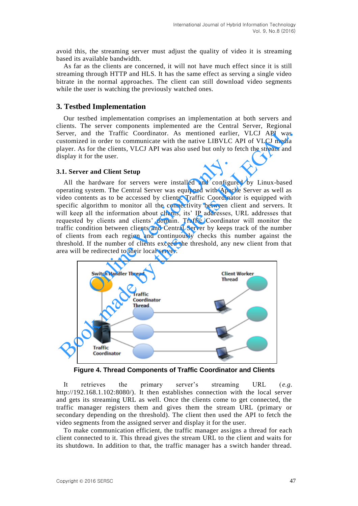avoid this, the streaming server must adjust the quality of video it is streaming based its available bandwidth.

As far as the clients are concerned, it will not have much effect since it is still streaming through HTTP and HLS. It has the same effect as serving a single video bitrate in the normal approaches. The client can still download video segments while the user is watching the previously watched ones.

## **3. Testbed Implementation**

Our testbed implementation comprises an implementation at both servers and clients. The server components implemented are the Central Server, Regional Server, and the Traffic Coordinator. As mentioned earlier, VLCJ API was customized in order to communicate with the native LIBVLC API of VLCJ media player. As for the clients, VLCJ API was also used but only to fetch the stream and display it for the user.

#### **3.1. Server and Client Setup**

All the hardware for servers were installed and configured by Linux-based operating system. The Central Server was equipped with Apache Server as well as video contents as to be accessed by clients. Traffic Coordinator is equipped with specific algorithm to monitor all the connectivity between client and servers. It will keep all the information about clients, its' IP addresses, URL addresses that requested by clients and clients' domain. Traffic Coordinator will monitor the traffic condition between clients and Central Server by keeps track of the number of clients from each region and continuously checks this number against the threshold. If the number of clients exceed the threshold, any new client from that area will be redirected to their local server. r and Client Setup<br>hardware for servers were installed and configu<br>yystem. The Central Server was equipped with Apac<br>ents as to be accessed by clients. Traffic Coordinar<br>gorithm to monitor all the connectivity between c<br>al



**Figure 4. Thread Components of Traffic Coordinator and Clients** 

It retrieves the primary server's streaming URL (*e.g*. http://192.168.1.102:8080/). It then establishes connection with the local server and gets its streaming URL as well. Once the clients come to get connected, the traffic manager registers them and gives them the stream URL (primary or secondary depending on the threshold). The client then used the API to fetch the video segments from the assigned server and display it for the user.

To make communication efficient, the traffic manager assigns a thread for each client connected to it. This thread gives the stream URL to the client and waits for its shutdown. In addition to that, the traffic manager has a switch hander thread.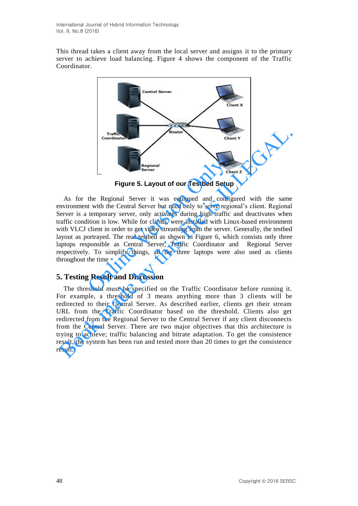This thread takes a client away from the local server and assigns it to the primary server to achieve load balancing. Figure 4 shows the component of the Traffic Coordinator.



**Figure 5. Layout of our Testbed Setup** 

As for the Regional Server it was equipped and configured with the same environment with the Central Server but need only to serve regional's client. Regional Server is a temporary server, only activates during high traffic and deactivates when traffic condition is low. While for clients, were installed with Linux-based environment with VLCJ client in order to get video streaming from the server. Generally, the testbed layout as portrayed. The real testbed as shown in Figure 6, which consists only three laptops responsible as Central Server, Traffic Coordinator and Regional Server respectively. To simplify things, all the three laptops were also used as clients throughout the time **Example 18 Accord Server Control Server Control Server Control Server Control Server Control Server (and Configure 19 According the Megional Server it was equipped and configure the expression of the Central Server, only** 

# **5. Testing Result and Discussion**

The threshold must be specified on the Traffic Coordinator before running it. For example, a threshold of 3 means anything more than 3 clients will be redirected to their Central Server. As described earlier, clients get their stream URL from the Traffic Coordinator based on the threshold. Clients also get redirected from the Regional Server to the Central Server if any client disconnects from the Central Server. There are two major objectives that this architecture is trying to achieve; traffic balancing and bitrate adaptation. To get the consistence result, the system has been run and tested more than 20 times to get the consistence result. Traffice<br> **Examples 1. Examples 1. Examples 1. Cluent 2.**<br> **Examples 1. Examples 1. Cluent 2.**<br> **Examples 1. Examples 1. Cluent 2.**<br> **Examples 1. Examples 1. Cluent 2. Cluent 2.**<br> **Examples 1. Example**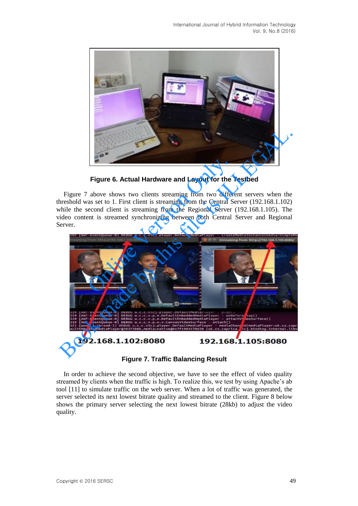

**Figure 6. Actual Hardware and Layout for the Testbed** 

Figure 7 above shows two clients streaming from two different servers when the threshold was set to 1. First client is streaming from the Central Server (192.168.1.102) while the second client is streaming from the Regional Server (192.168.1.105). The video content is streamed synchronizing between both Central Server and Regional Server.



**Figure 7. Traffic Balancing Result**

In order to achieve the second objective, we have to see the effect of video quality streamed by clients when the traffic is high. To realize this, we test by using Apache's ab tool [11] to simulate traffic on the web server. When a lot of traffic was generated, the server selected its next lowest bitrate quality and streamed to the client. Figure 8 below shows the primary server selecting the next lowest bitrate (28kb) to adjust the video quality.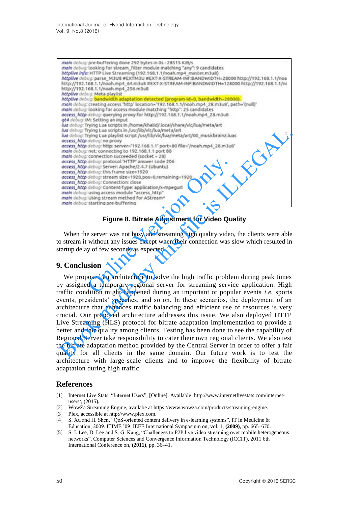International Journal of Hybrid Information Technology Vol. 9, No.8 (2016)

| main debug: pre-buffering done 292 bytes in 0s - 28515 KiB/s<br>main debug: looking for stream filter module matching "any": 9 candidates<br>httplive info: HTTP Live Streaming (192.168.1.1/noah.mp4_master.m3u8)<br>httplive debug: parse_M3U8 #EXTM3U #EXT-X-STREAM-INF:BANDWIDTH=28000 http://192.168.1.1/noa<br>http://192.168.1.1/noah.mp4_64.m3u8 #EXT-X-STREAM-INF:BANDWIDTH=128000 http://192.168.1.1/nr<br>http://192.168.1.1/noah.mp4 256.m3u8<br>httplive debug: Meta playlist                                                                                                                                                                                                                                                                                     |             |
|--------------------------------------------------------------------------------------------------------------------------------------------------------------------------------------------------------------------------------------------------------------------------------------------------------------------------------------------------------------------------------------------------------------------------------------------------------------------------------------------------------------------------------------------------------------------------------------------------------------------------------------------------------------------------------------------------------------------------------------------------------------------------------|-------------|
| httplive debug: bandwidth adaptation detected (program-id=0, bandwidth=28000).<br>main debug: creating access 'http' location="192.168.1.1/noah.mp4_28.m3u8', path='(null)'<br>main debug: looking for access module matching "http": 25 candidates<br>access http debug: querying proxy for http://192.168.1.1/noah.mp4_28.m3u8<br>ge4 debug: IM: Setting an input<br>lua debug: Trying Lua scripts in /home/khalid/.local/share/vic/lua/meta/art<br>lua debug: Trying Lua scripts in /usr/lib/vic/lua/meta/art<br>lua debug: Trying Lua playlist script /usr/lib/vlc/lua/meta/art/00_musicbrainz.luac<br>access_http debug: no proxy<br>access http debug: http: server='192.168.1.1' port=B0 file='/noah.mp4_28.m3u8'<br>main debug: net: connecting to 192.168.1.1 port 80 | $\mathbb T$ |
| main debug: connection succeeded (socket = 28)<br>access http debug: protocol 'HTTP' answer code 206<br>access_http debug: Server: Apache/2.4.7 (Ubuntu)<br>occess http debug: this frame size=1920<br>access http debug: stream size=1920,pos=0,remaining=1920<br>access http debug: Connection: close<br>access http debug: Content-Type: application/x-mpegurl<br>main debug: using access module "access_http"<br>main debug: Using stream method for AStream*<br>main debug: starting pre-buffering                                                                                                                                                                                                                                                                       |             |
| <b>Figure 8. Bitrate Adjustment for Video Quality</b>                                                                                                                                                                                                                                                                                                                                                                                                                                                                                                                                                                                                                                                                                                                          |             |
| When the server was not busy and streaming high quality video, the clients were able<br>o stream it without any issues except when their connection was slow which resulted in<br>tartup delay of few seconds as expected.                                                                                                                                                                                                                                                                                                                                                                                                                                                                                                                                                     |             |
| <b>. Conclusion</b>                                                                                                                                                                                                                                                                                                                                                                                                                                                                                                                                                                                                                                                                                                                                                            |             |
| We proposed an architecture to solve the high traffic problem during peak times<br>by assigned a temporary regional server for streaming service application. High<br>raffic condition might happened during an important or popular events $i \, e$ sports                                                                                                                                                                                                                                                                                                                                                                                                                                                                                                                    |             |

## **Figure 8. Bitrate Adjustment for Video Quality**

## **9. Conclusion**

We proposed an architecture to solve the high traffic problem during peak times by assigned a temporary regional server for streaming service application. High traffic condition might happened during an important or popular events *i.e.* sports events, presidents' speeches, and so on. In these scenarios, the deployment of an architecture that enhances traffic balancing and efficient use of resources is very crucial. Our proposed architecture addresses this issue. We also deployed HTTP Live Streaming (HLS) protocol for bitrate adaptation implementation to provide a better and fair quality among clients. Testing has been done to see the capability of Regional Server take responsibility to cater their own regional clients. We also test the bitrate adaptation method provided by the Central Server in order to offer a fair quality for all clients in the same domain. Our future work is to test the architecture with large-scale clients and to improve the flexibility of bitrate adaptation during high traffic. Book made by this file is ILLEGAL.

## **References**

- [1] Internet Live Stats, "Internet Users", [Online]. Available: http://www.internetlivestats.com/internetusers/, (2015)**.**
- [2] WowZa Streaming Engine, availabe at https://www.wowza.com/products/streaming-engine.
- [3] Plex, accessible at http://www.plex.com.
- [4] S. Xu and H. Shen, "QoS-oriented content delivery in e-learning systems", IT in Medicine & Education, 2009. ITIME '09. IEEE International Symposium on, vol. 1, **(2009)**, pp. 665–670.
- [5] S. I. Lee, D. Lee and S. G. Kang, "Challenges to P2P live video streaming over mobile heterogeneous networks", Computer Sciences and Convergence Information Technology (ICCIT), 2011 6th International Conference on, **(2011)**, pp. 36–41.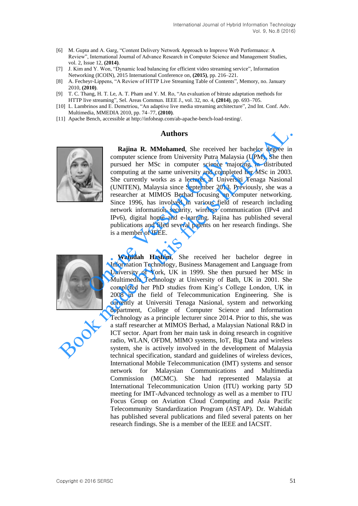- [6] M. Gupta and A. Garg, "Content Delivery Network Approach to Improve Web Performance: A Review", International Journal of Advance Research in Computer Science and Management Studies, vol. 2, Issue 12, **(2014)**.
- [7] J. Kim and Y. Won, "Dynamic load balancing for efficient video streaming service", Information Networking (ICOIN), 2015 International Conference on, **(2015)**, pp. 216–221.
- [8] A. Fecheyr-Lippens, "A Review of HTTP Live Streaming Table of Contents", Memory, no. January 2010, **(2010)**.
- [9] T. C. Thang, H. T. Le, A. T. Pham and Y. M. Ro, "An evaluation of bitrate adaptation methods for HTTP live streaming", Sel. Areas Commun. IEEE J., vol. 32, no. 4, **(2014)**, pp. 693–705.
- [10] L. Lambrinos and E. Demetriou, "An adaptive live media streaming architecture", 2nd Int. Conf. Adv. Multimedia, MMEDIA 2010, pp. 74–77, **(2010)**.
- [11] Apache Bench, accessible at http://infoheap.com/ab-apache-bench-load-testing/.

#### **Authors**



**Rajina R. MMohamed**, She received her bachelor degree in computer science from University Putra Malaysia (UPM). She then pursued her MSc in computer science majoring in distributed computing at the same university and completed her MSc in 2003. She currently works as a lecturer at Universiti Tenaga Nasional (UNITEN), Malaysia since September 2013. Previously, she was a researcher at MIMOS Berhad focusing on computer networking. Since 1996, has involved in various field of research including network information security, wireless communication (IPv4 and IPv6), digital home and e-learning. Rajina has published several publications and filed several patents on her research findings. She is a member of IEEE. Figure 1996, the incomputer science may be pursued her MSc in computer science may computing at the same university and comples She currently works as a lecturer at Univer (UNITEN), Malaysia since September 2013. Tesearche



**Wahidah Hashim**, She received her bachelor degree in Information Technology, Business Management and Language from University of York, UK in 1999. She then pursued her MSc in Multimedia Technology at University of Bath, UK in 2001. She completed her PhD studies from King's College London, UK in 2008 in the field of Telecommunication Engineering. She is currently at Universiti Tenaga Nasional, system and networking department, College of Computer Science and Information Technology as a principle lecturer since 2014. Prior to this, she was a staff researcher at MIMOS Berhad, a Malaysian National R&D in ICT sector. Apart from her main task in doing research in cognitive radio, WLAN, OFDM, MIMO systems, IoT, Big Data and wireless system, she is actively involved in the development of Malaysia technical specification, standard and guidelines of wireless devices, International Mobile Telecommunication (IMT) systems and sensor network for Malaysian Communications and Multimedia Commission (MCMC). She had represented Malaysia at International Telecommunication Union (ITU) working party 5D meeting for IMT-Advanced technology as well as a member to ITU Focus Group on Aviation Cloud Computing and Asia Pacific Telecommunity Standardization Program (ASTAP). Dr. Wahidah has published several publications and filed several patents on her research findings. She is a member of the IEEE and IACSIT. **Authors**<br> **Authors**<br> **Authors**<br> **Authors**<br> **Authors**<br> **Authors**<br> **Authors**<br> **Authors**<br> **Authors**<br> **Authors**<br> **Authors**<br> **Authors**<br> **Authors**<br> **Authors**<br> **CONS**<br> **CONTEN), Malaysia since September 2013. Previously, she was**